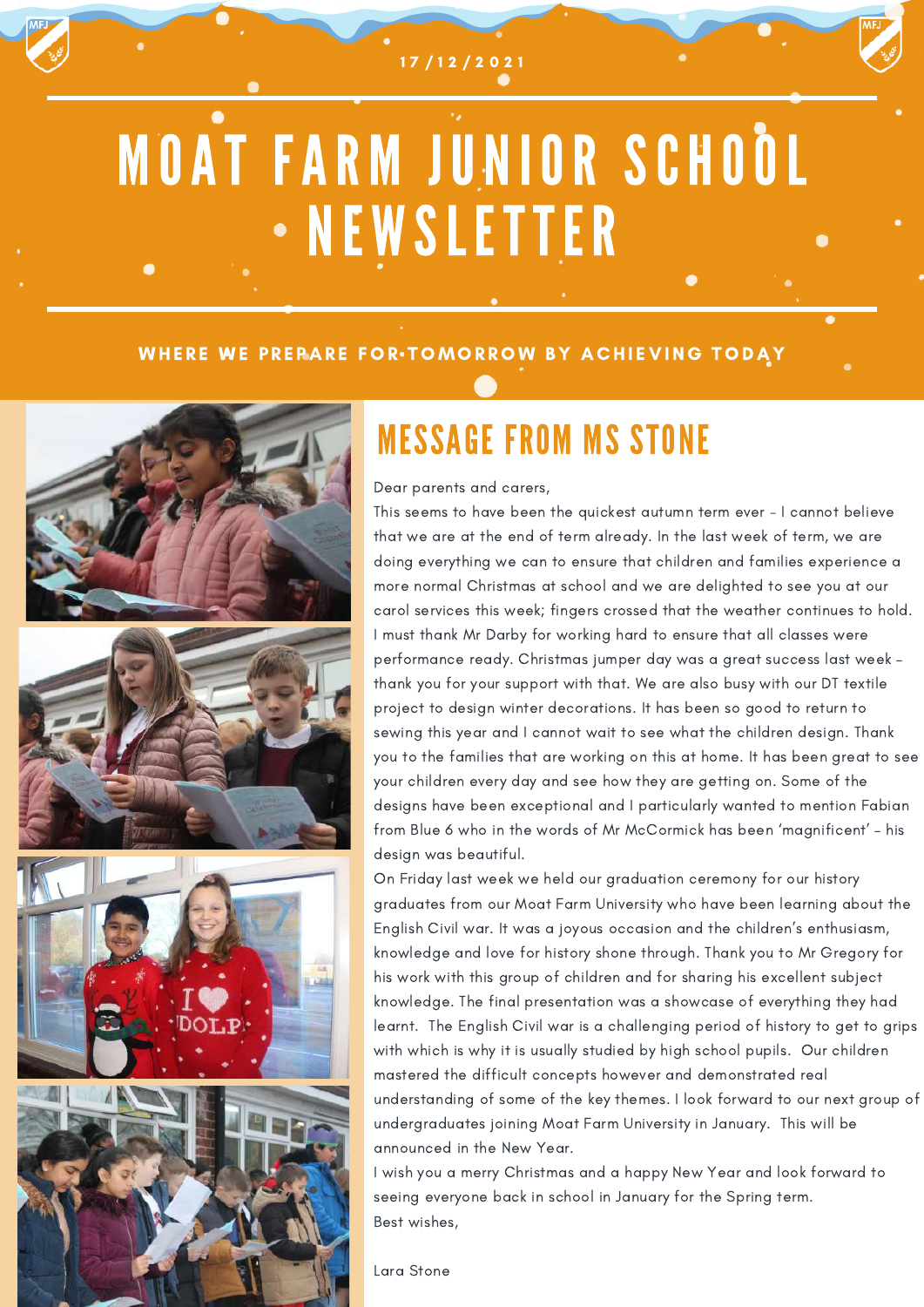1 7 / 1 2 / 2 0 2 1

# MOAT FARM JUNIOR SCHOOL NEWSLETTER

#### WHERE WE PREPARE FOR TOMORROW BY ACHIEVING TODAY



### MESSAGE FROM MS STONE

Dear parents and carers,

This seems to have been the quickest autumn term ever - I cannot believe that we are at the end of term already. In the last week of term, we are doing everything we can to ensure that children and families experience a more normal Christmas at school and we are delighted to see you at our carol services this week; fingers crossed that the weather continues to hold. I must thank Mr Darby for working hard to ensure that all classes were performance ready. Christmas jumper day was a great success last week – thank you for your support with that. We are also busy with our DT textile project to design winter decorations. It has been so good to return to sewing this year and I cannot wait to see what the children design. Thank you to the families that are working on this at home. It has been great to see your children every day and see how they are getting on. Some of the designs have been exceptional and I particularly wanted to mention Fabian from Blue 6 who in the words of Mr McCormick has been 'magnificent' – his design was beautiful.

On Friday last week we held our graduation ceremony for our history graduates from our Moat Farm University who have been learning about the English Civil war. It was a joyous occasion and the children's enthusiasm, knowledge and love for history shone through. Thank you to Mr Gregory for his work with this group of children and for sharing his excellent subject knowledge. The final presentation was a showcase of everything they had learnt. The English Civil war is a challenging period of history to get to grips with which is why it is usually studied by high school pupils. Our children mastered the difficult concepts however and demonstrated real understanding of some of the key themes. I look forward to our next group of undergraduates joining Moat Farm University in January. This will be announced in the New Year.

I wish you a merry Christmas and a happy New Year and look forward to seeing everyone back in school in January for the Spring term. Best wishes,

Lara Stone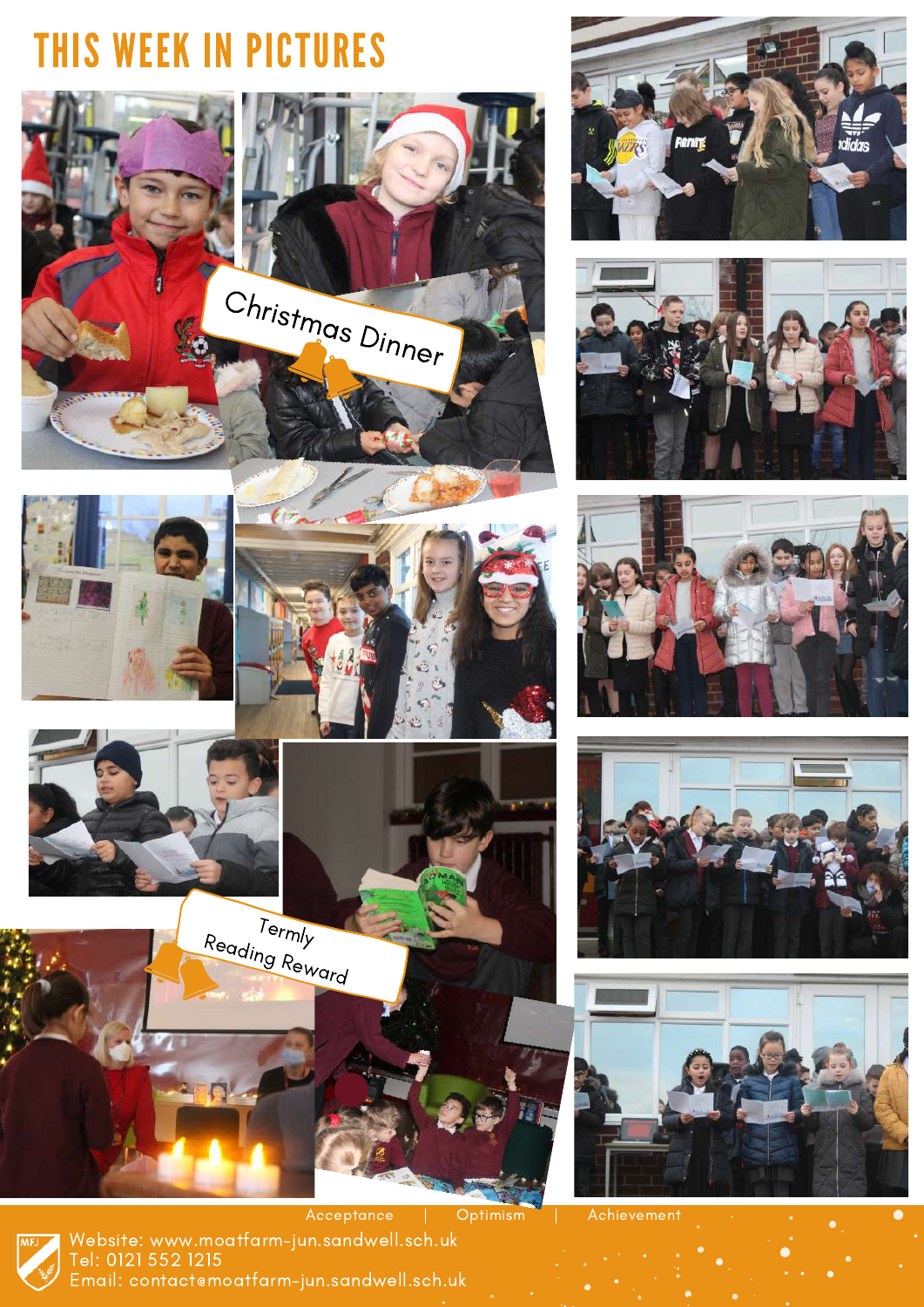### THIS WEEK IN PICTURES

















Acceptance | Optimism | Achievement









Website: www.moatfarm-jun.sandwell.sch.uk Tel: 0121 552 1215 Email: contact@moatfarm-jun.sandwell.sch.uk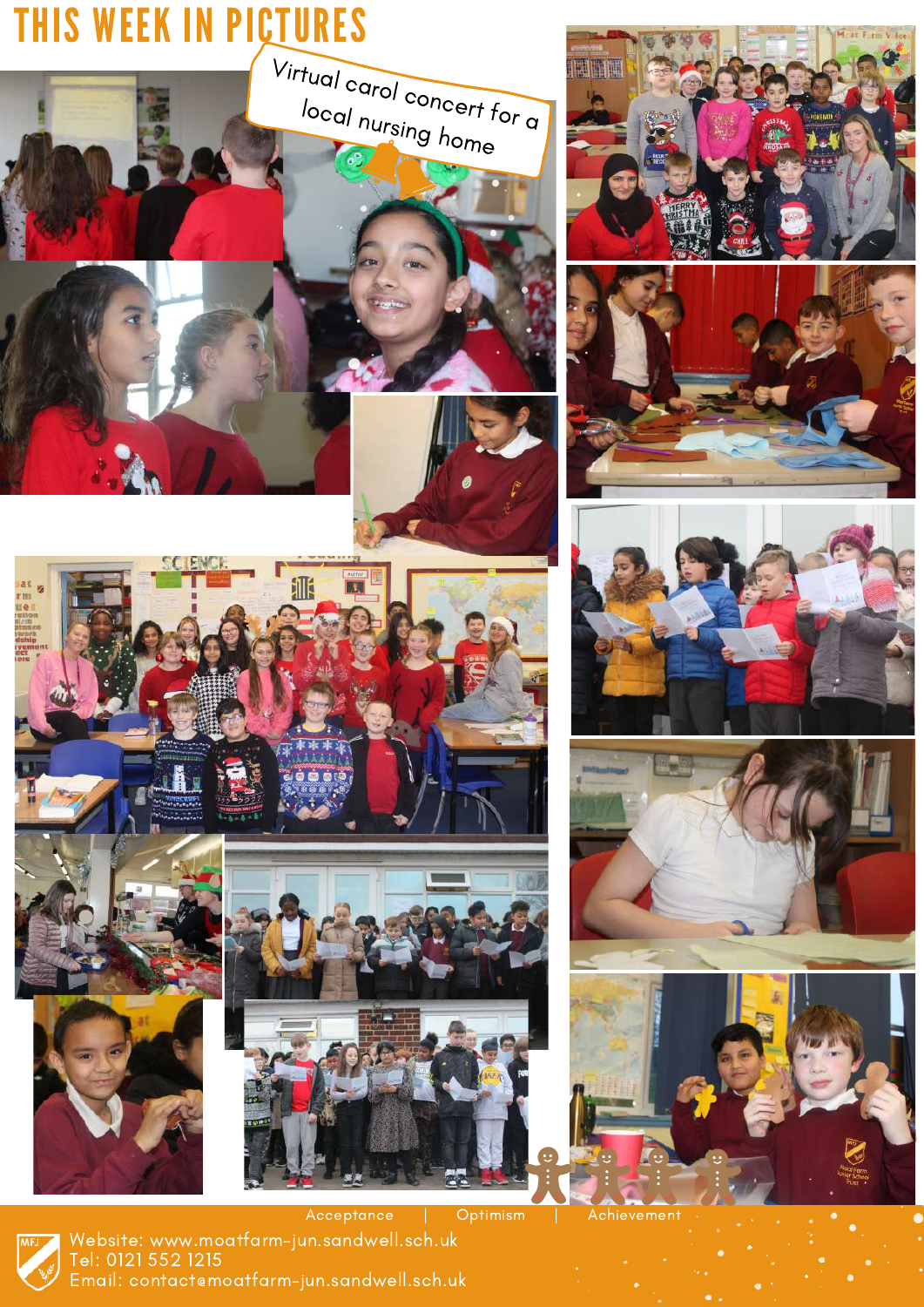

Website: www.moatfarm-jun.sandwell.sch.uk Tel: 0121 552 1215 Email: contact@moatfarm-jun.sandwell.sch.uk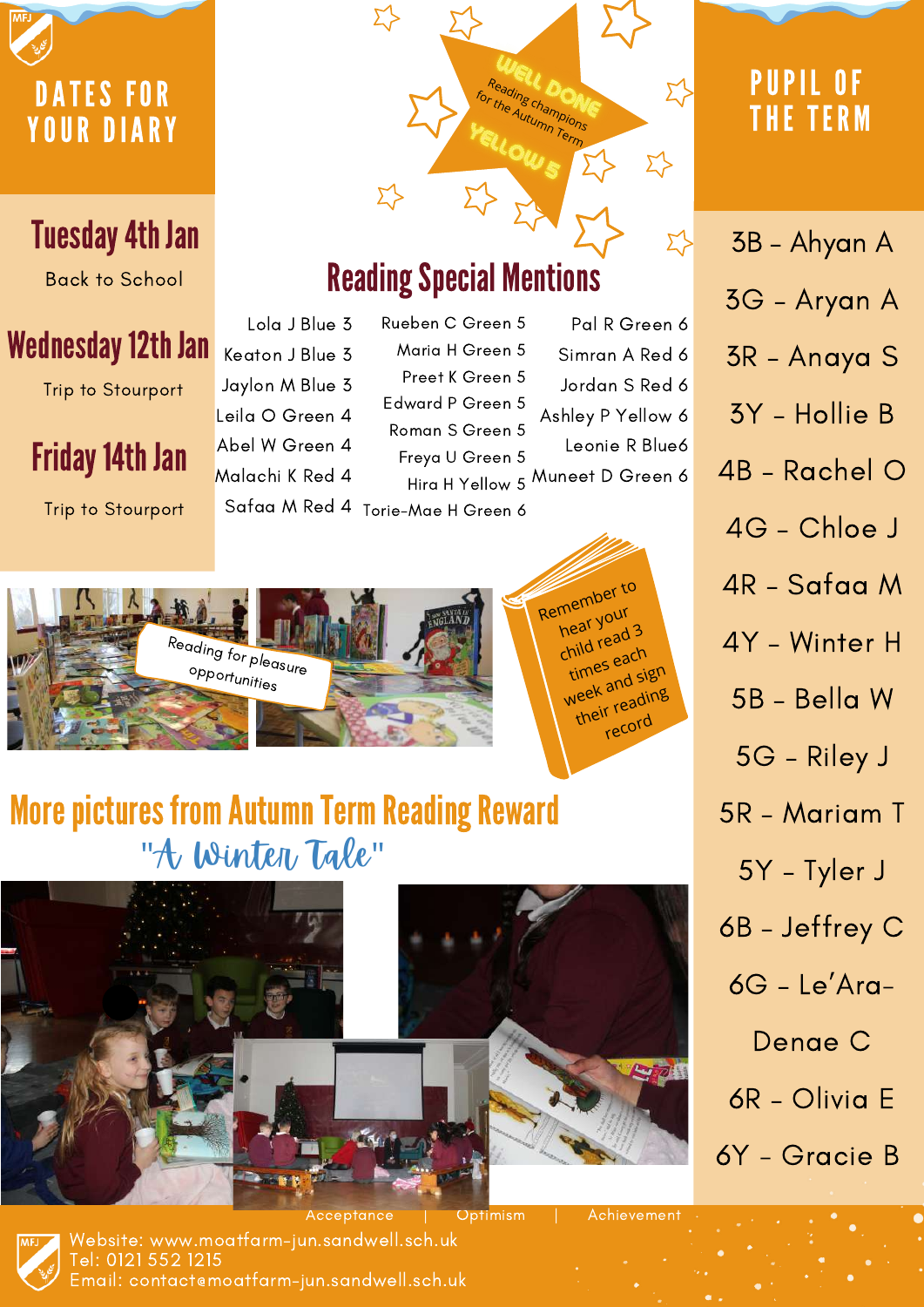

6R – Olivia E

6Y - Gracie B

Website: www.moatfarm-jun.sandwell.sch.uk Tel: 0121 552 1215 Email: contact@moatfarm-jun.sandwell.sch.uk

Acceptance | Optimism | Achievement